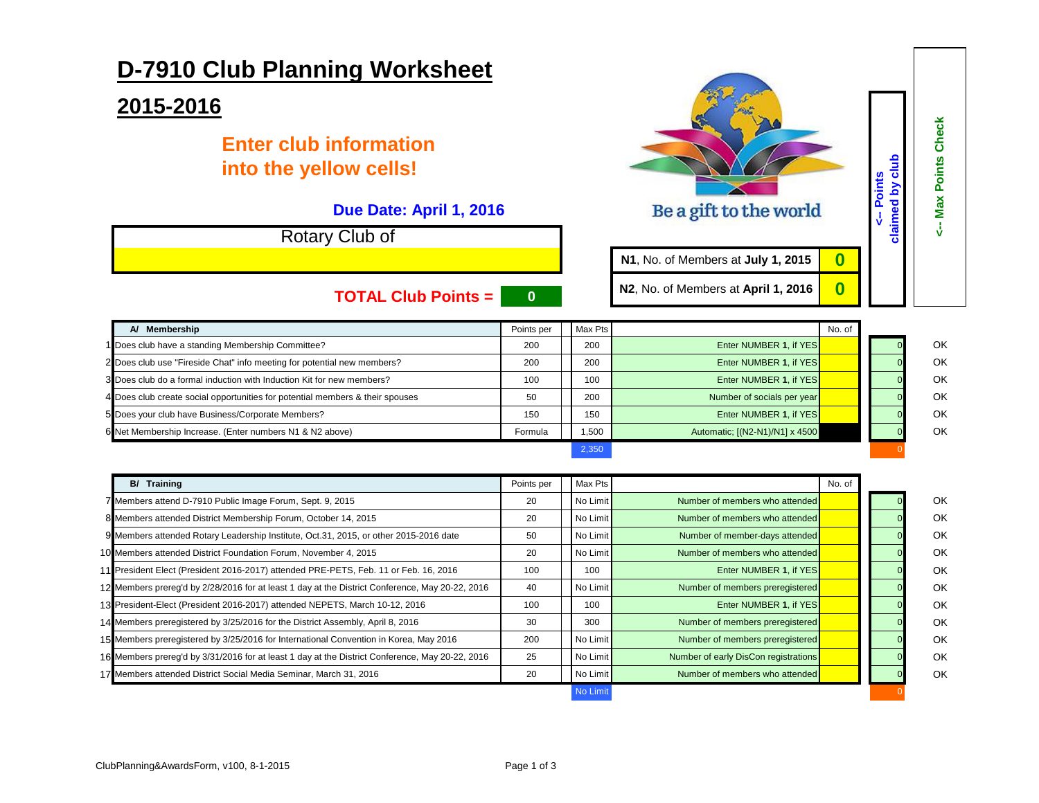## **D-7910 Club Planning Worksheet**

## **2015-2016**

## **Enter club information into the yellow cells!**

## **Due Date: April 1, 2016**

Rotary Club of

| <b>TOTAL Club Points =</b>                                                    | $\bf{0}$   |         | N <sub>2</sub> , No. of Members at April 1, 2016 |        |  |    |
|-------------------------------------------------------------------------------|------------|---------|--------------------------------------------------|--------|--|----|
| A/ Membership                                                                 | Points per | Max Pts |                                                  | No. of |  |    |
| 1 Does club have a standing Membership Committee?                             | 200        | 200     | Enter NUMBER 1. if YES                           |        |  | OK |
| 2 Does club use "Fireside Chat" info meeting for potential new members?       | 200        | 200     | Enter NUMBER 1, if YES                           |        |  | OK |
| 3 Does club do a formal induction with Induction Kit for new members?         | 100        | 100     | Enter NUMBER 1. if YES                           |        |  | OK |
| 4 Does club create social opportunities for potential members & their spouses | 50         | 200     | Number of socials per year                       |        |  | OK |
| 5 Does your club have Business/Corporate Members?                             | 150        | 150     | Enter NUMBER 1. if YES                           |        |  | OK |
| 6 Net Membership Increase. (Enter numbers N1 & N2 above)                      | Formula    | 1,500   | Automatic: [(N2-N1)/N1] x 4500                   |        |  | OK |
|                                                                               |            | 2,350   |                                                  |        |  |    |

**<-- Max Points Check**

<-- Max Points Check

**<-- Points claimed by club**

**N1**, No. of Members at **July 1, 2015 0**

Be a gift to the world

| <b>B/ Training</b>                                                                              | Points per | Max Pts  |                                      | No. of |    |
|-------------------------------------------------------------------------------------------------|------------|----------|--------------------------------------|--------|----|
| 7 Members attend D-7910 Public Image Forum, Sept. 9, 2015                                       | 20         | No Limit | Number of members who attended       |        | OK |
| 8 Members attended District Membership Forum, October 14, 2015                                  | 20         | No Limit | Number of members who attended       |        | OK |
| 9 Members attended Rotary Leadership Institute, Oct.31, 2015, or other 2015-2016 date           | 50         | No Limit | Number of member-days attended       |        | OK |
| 10 Members attended District Foundation Forum, November 4, 2015                                 | 20         | No Limit | Number of members who attended       |        | OK |
| 11 President Elect (President 2016-2017) attended PRE-PETS, Feb. 11 or Feb. 16, 2016            | 100        | 100      | Enter NUMBER 1, if YES               |        | OK |
| 12 Members prereg'd by 2/28/2016 for at least 1 day at the District Conference, May 20-22, 2016 | 40         | No Limit | Number of members preregistered      |        | OK |
| 13 President-Elect (President 2016-2017) attended NEPETS, March 10-12, 2016                     | 100        | 100      | Enter NUMBER 1, if YES               |        | OK |
| 14 Members preregistered by 3/25/2016 for the District Assembly, April 8, 2016                  | 30         | 300      | Number of members preregistered      |        | OK |
| 15 Members preregistered by 3/25/2016 for International Convention in Korea, May 2016           | 200        | No Limit | Number of members preregistered      |        | OK |
| 16 Members prereg'd by 3/31/2016 for at least 1 day at the District Conference, May 20-22, 2016 | 25         | No Limit | Number of early DisCon registrations |        | OK |
| 17 Members attended District Social Media Seminar, March 31, 2016                               | 20         | No Limit | Number of members who attended       |        | OK |
|                                                                                                 |            | No Limit |                                      |        |    |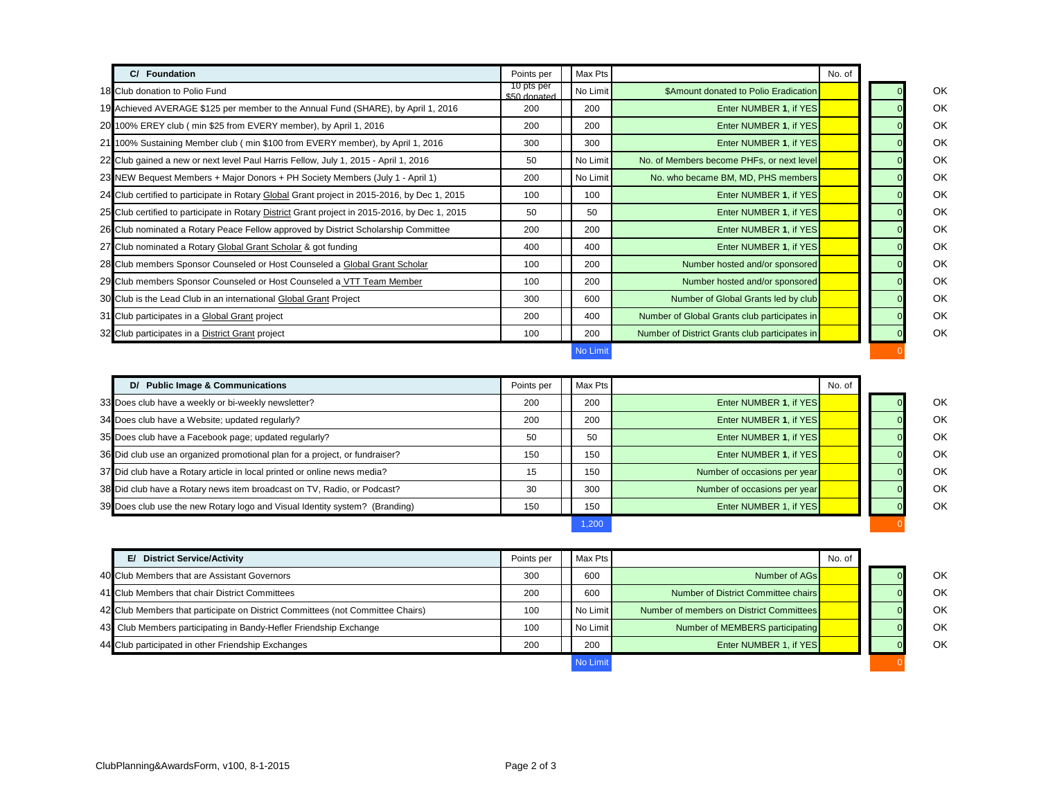| C/ Foundation                                                                                  | Points per                 | Max Pts  |                                                | No. of |    |
|------------------------------------------------------------------------------------------------|----------------------------|----------|------------------------------------------------|--------|----|
| 18 Club donation to Polio Fund                                                                 | 10 pts per<br>\$50 donated | No Limit | \$Amount donated to Polio Eradication          |        | OK |
| 19 Achieved AVERAGE \$125 per member to the Annual Fund (SHARE), by April 1, 2016              | 200                        | 200      | Enter NUMBER 1, if YES                         |        | OK |
| 20 100% EREY club (min \$25 from EVERY member), by April 1, 2016                               | 200                        | 200      | Enter NUMBER 1, if YES                         |        | OK |
| 21 100% Sustaining Member club (min \$100 from EVERY member), by April 1, 2016                 | 300                        | 300      | Enter NUMBER 1, if YES                         |        | OK |
| 22 Club gained a new or next level Paul Harris Fellow, July 1, 2015 - April 1, 2016            | 50                         | No Limit | No. of Members become PHFs, or next level      |        | OK |
| 23 NEW Bequest Members + Major Donors + PH Society Members (July 1 - April 1)                  | 200                        | No Limit | No. who became BM, MD, PHS members             |        | OK |
| 24 Club certified to participate in Rotary Global Grant project in 2015-2016, by Dec 1, 2015   | 100                        | 100      | Enter NUMBER 1, if YES                         |        | OK |
| 25 Club certified to participate in Rotary District Grant project in 2015-2016, by Dec 1, 2015 | 50                         | 50       | Enter NUMBER 1, if YES                         |        | OK |
| 26 Club nominated a Rotary Peace Fellow approved by District Scholarship Committee             | 200                        | 200      | Enter NUMBER 1, if YES                         |        | OK |
| 27 Club nominated a Rotary Global Grant Scholar & got funding                                  | 400                        | 400      | Enter NUMBER 1, if YES                         |        | OK |
| 28 Club members Sponsor Counseled or Host Counseled a Global Grant Scholar                     | 100                        | 200      | Number hosted and/or sponsored                 |        | OK |
| 29 Club members Sponsor Counseled or Host Counseled a VTT Team Member                          | 100                        | 200      | Number hosted and/or sponsored                 |        | OK |
| 30 Club is the Lead Club in an international Global Grant Project                              | 300                        | 600      | Number of Global Grants led by club            |        | OK |
| 31 Club participates in a Global Grant project                                                 | 200                        | 400      | Number of Global Grants club participates in   |        | OK |
| 32 Club participates in a District Grant project                                               | 100                        | 200      | Number of District Grants club participates in |        | OK |
|                                                                                                |                            | No Limit |                                                |        |    |

| D/ Public Image & Communications                                            | Points per | Max Pts |                              | No. of |           |
|-----------------------------------------------------------------------------|------------|---------|------------------------------|--------|-----------|
| 33 Does club have a weekly or bi-weekly newsletter?                         | 200        | 200     | Enter NUMBER 1, if YES       |        | OK.       |
| 34 Does club have a Website; updated regularly?                             | 200        | 200     | Enter NUMBER 1, if YES       |        | <b>OK</b> |
| 35 Does club have a Facebook page; updated regularly?                       | 50         | 50      | Enter NUMBER 1, if YES       |        | OK.       |
| 36 Did club use an organized promotional plan for a project, or fundraiser? | 150        | 150     | Enter NUMBER 1, if YES       |        | <b>OK</b> |
| 37 Did club have a Rotary article in local printed or online news media?    | 15         | 150     | Number of occasions per year |        | OK.       |
| 38 Did club have a Rotary news item broadcast on TV, Radio, or Podcast?     | 30         | 300     | Number of occasions per year |        | <b>OK</b> |
| 39 Does club use the new Rotary logo and Visual Identity system? (Branding) | 150        | 150     | Enter NUMBER 1, if YES       |        | <b>OK</b> |

| Ol |
|----|
| O  |
| O  |
|    |

|        |                                          | 1.200      |
|--------|------------------------------------------|------------|
|        |                                          |            |
| No. of |                                          | lax Pts l  |
|        | Number of AGs                            | 600        |
|        | Number of District Committee chairs      | 600        |
|        | Number of members on District Committees | lo Limit l |

| E/ District Service/Activity                                                   | Points per | Max Pts  |                                          | No. of |  |    |
|--------------------------------------------------------------------------------|------------|----------|------------------------------------------|--------|--|----|
| 40 Club Members that are Assistant Governors                                   | 300        | 600      | Number of AGs                            |        |  | OK |
| 41 Club Members that chair District Committees                                 | 200        | 600      | Number of District Committee chairs      |        |  | OK |
| 42 Club Members that participate on District Committees (not Committee Chairs) | 100        | No Limit | Number of members on District Committees |        |  | OK |
| 43 Club Members participating in Bandy-Hefler Friendship Exchange              | 100        | No Limit | Number of MEMBERS participating          |        |  | OK |
| 44 Club participated in other Friendship Exchanges                             | 200        | 200      | Enter NUMBER 1, if YES                   |        |  | OK |
|                                                                                |            | No Limit |                                          |        |  |    |